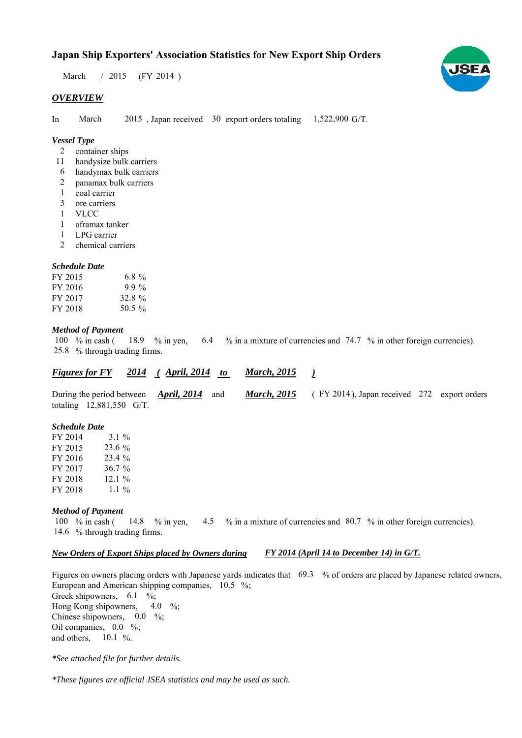# **Japan Ship Exporters' Association Statistics for New Export Ship Orders**

March / 2015 (FY 2014)

### *OVERVIEW*

In March  $2015$ , Japan received 30 export orders totaling  $1,522,900$  G/T. March

## *Vessel Type*

- container ships 2
- handysize bulk carriers 11
- handymax bulk carriers 6
- panamax bulk carriers 2
- coal carrier 1
- ore carriers 3
- VLCC 1
- aframax tanker 1
- LPG carrier 1
- chemical carriers 2

#### *Schedule Date*

| FY 2015 | 6.8 $\%$ |
|---------|----------|
| FY 2016 | $9.9\%$  |
| FY 2017 | 32.8 $%$ |
| FY 2018 | 50.5 %   |

#### *Method of Payment*

% in cash ( $\frac{18.9}{8}$  % in yen,  $\frac{6.4}{8}$  % in a mixture of currencies and 74.7 % in other foreign currencies). % through trading firms. 25.8 18.9 % in yen, 100  $%$  in cash (

| <b>Figures for FY</b> |  | 2014 (April, 2014) | <b>March, 2015</b> |
|-----------------------|--|--------------------|--------------------|
|                       |  |                    |                    |

During the period between *April, 2014* and *March, 2015* (FY 2014), Japan received 272 export orders totaling  $12,881,550$  G/T. *April, 2014 March, 2015*

### *Schedule Date*

| FY 2014 | $3.1 \%$  |
|---------|-----------|
| FY 2015 | 23.6 %    |
| FY 2016 | $23.4\%$  |
| FY 2017 | $36.7 \%$ |
| FY 2018 | 12.1%     |
| FY 2018 | 1.1 $\%$  |

#### *Method of Payment*

% in cash ( $\frac{14.8}{8}$  % in yen,  $\frac{4.5}{8}$  % in a mixture of currencies and 80.7 % in other foreign currencies). 14.6 % through trading firms. 100  $\%$  in cash (

#### *New Orders of Export Ships placed by Owners during FY 2014 (April 14 to December 14) in G/T.*

Figures on owners placing orders with Japanese yards indicates that  $69.3\%$  of orders are placed by Japanese related owners, European and American shipping companies,  $10.5\%$ ; Greek shipowners,  $6.1 \degree$ %; Hong Kong shipowners, Chinese shipowners,  $0.0\%$ ; Oil companies,  $0.0\%$ ; and others,  $10.1\%$ . 4.0  $\frac{9}{6}$ ;

*\*See attached file for further details.*

*\*These figures are official JSEA statistics and may be used as such.*

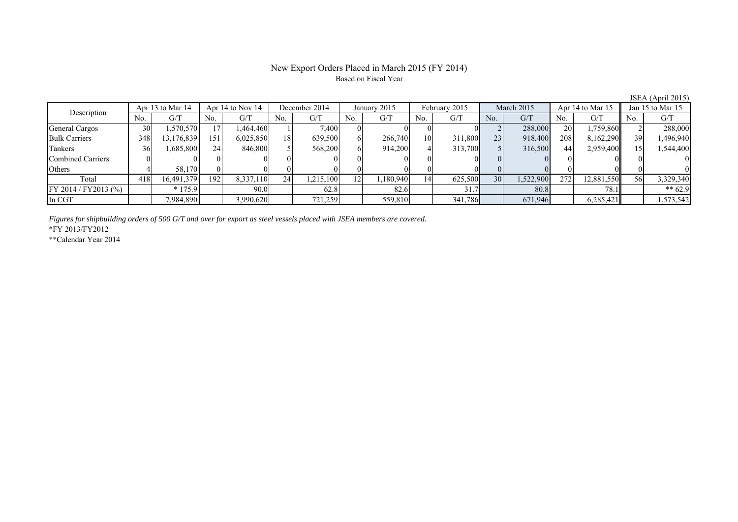# New Export Orders Placed in March 2015 (FY 2014) Based on Fiscal Year

|                       |                  |            |                      |           |               |          |              |          |                |         |                 |           |                  |            |                  | $\frac{1}{2}$ |
|-----------------------|------------------|------------|----------------------|-----------|---------------|----------|--------------|----------|----------------|---------|-----------------|-----------|------------------|------------|------------------|---------------|
| Description           | Apr 13 to Mar 14 |            | Apr $14$ to Nov $14$ |           | December 2014 |          | January 2015 |          | February 2015  |         | March 2015      |           | Apr 14 to Mar 15 |            | Jan 15 to Mar 15 |               |
|                       | No.              | G/T        | No.                  | G/T       | No.           | G/T      | No.          | G/T      | No.            | G/T     | N <sub>0</sub>  | G/T       | No.              | G/T        | No.              | G/T           |
| General Cargos        | 30               | .570,570   |                      | .464,460  |               | 7,400    |              |          |                |         |                 | 288,000   | 20               | 1,759,860  |                  | 288,000       |
| <b>Bulk Carriers</b>  | 348              | 13,176,839 | 151                  | 6,025,850 | 18            | 639,500  |              | 266,740  | 1 <sub>0</sub> | 311,800 | 23              | 918,400   | 208              | 8,162,290  | 39               | 1,496,940     |
| Tankers               | 36               | 1,685,800  | 241                  | 846,800   |               | 568,200  |              | 914,200  |                | 313,700 |                 | 316,500   | 44               | 2,959,400  |                  | .544,400      |
| Combined Carriers     |                  |            |                      |           |               |          |              |          |                |         |                 |           |                  |            |                  |               |
| Others                |                  | 58,170     |                      |           |               |          |              |          |                |         |                 |           |                  |            |                  |               |
| Total                 | 418              | 16,491,379 | 192                  | 8,337,110 | 24            | .215,100 | 12           | ,180,940 | 14             | 625,500 | 30 <sup>l</sup> | 1,522,900 | 272              | 12,881,550 | 56 <sup>I</sup>  | 3,329,340     |
| FY 2014 / FY 2013 (%) |                  | $*175.9$   |                      | 90.0      |               | 62.8     |              | 82.6     |                |         |                 | 80.8      |                  | 78.1       |                  | ** $62.9$     |
| In CGT                |                  | 7,984,890  |                      | 3,990,620 |               | 721,259  |              | 559,810  |                | 341,786 |                 | 671,946   |                  | 6,285,421  |                  | 1,573,542     |

*Figures for shipbuilding orders of 500 G/T and over for export as steel vessels placed with JSEA members are covered.*

\*FY 2013/FY2012

\*\*Calendar Year 2014

JSEA (April 2015)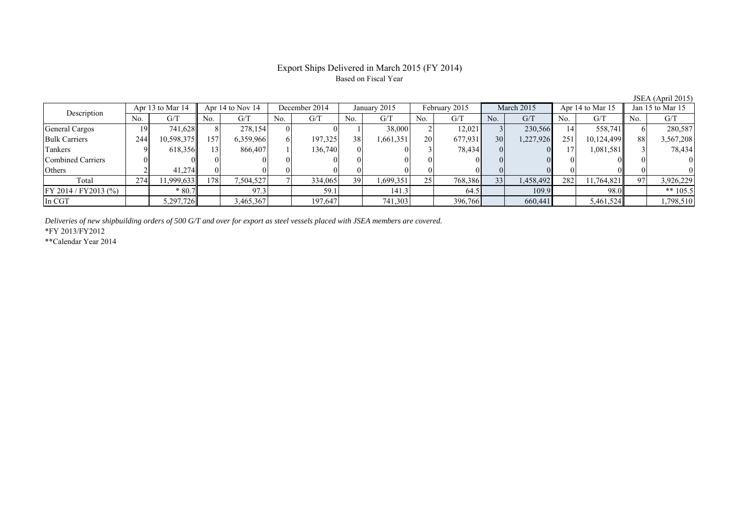# Export Ships Delivered in March 2015 (FY 2014) Based on Fiscal Year

| Description             | Apr 13 to Mar 14 |            | Apr 14 to Nov 14 |           | December 2014 |         | January 2015 |           | February 2015 |         | March 2015      |           | Apr 14 to Mar 15 |            | Jan 15 to Mar 15 |            |
|-------------------------|------------------|------------|------------------|-----------|---------------|---------|--------------|-----------|---------------|---------|-----------------|-----------|------------------|------------|------------------|------------|
|                         | No.              | G/T        | No.              | G/T       | No.           | G/T     | No.          | G/T       | No.           | G/T     | No.             | G/T       | No.              | G/T        | No.              | G/T        |
| <b>General Cargos</b>   | 19               | 741,628    |                  | 278,154   |               |         |              | 38,000    |               | 12,021  |                 | 230,566   | 14               | 558,741    |                  | 280,587    |
| <b>Bulk Carriers</b>    | 244              | 10,598,375 | 157              | 6,359,966 |               | 197,325 | 38           | 1,661,351 | 20            | 677,931 | 30 <sup>1</sup> | 1,227,926 | 251              | 10,124,499 | 88               | 3,567,208  |
| Tankers                 |                  | 618,356    | 13 <sub>1</sub>  | 866.407   |               | 136.740 |              |           |               | 78,434  |                 |           | 17               | 1,081,581  |                  | 78,434     |
| Combined Carriers       |                  |            |                  |           |               |         |              |           |               |         |                 |           |                  |            |                  |            |
| Others                  |                  | 41.274     |                  |           |               |         |              |           |               |         |                 |           |                  |            |                  |            |
| Total                   | 274              | 1,999,633  | 1781             | 1,504,527 |               | 334,065 | 39           | 1,699,351 | 25            | 768,386 | 331             | 1,458,492 | 282              | 11,764,821 | $\Omega$         | 3,926,229  |
| $FY 2014 / FY 2013$ (%) |                  | $*80.7$    |                  | 97.3      |               | 59.1    |              | 141.3     |               | 64.5    |                 | 109.9     |                  | 98.0       |                  | ** $105.5$ |
| In CGT                  |                  | 5,297,726  |                  | 3,465,367 |               | 197,647 |              | 741,303   |               | 396,766 |                 | 660,441   |                  | 5,461,524  |                  | 1,798,510  |

*Deliveries of new shipbuilding orders of 500 G/T and over for export as steel vessels placed with JSEA members are covered.*

\*FY 2013/FY2012

\*\*Calendar Year 2014

JSEA (April 2015)